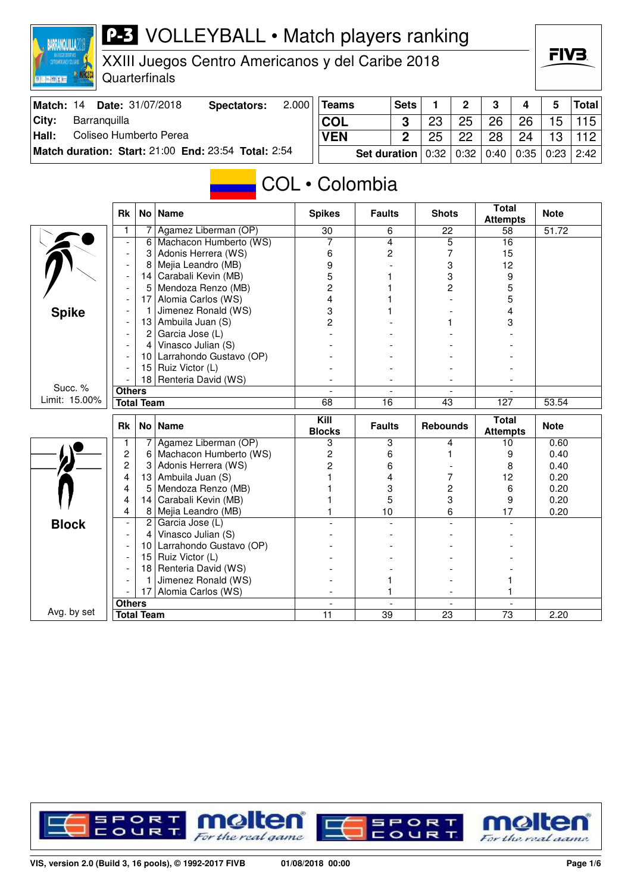# **P-3** VOLLEYBALL • Match players ranking

XXIII Juegos Centro Americanos y del Caribe 2018

Quarterfinals

**BARRANQUILLA2018** 

**EN MIX IN** 

**IR NORCECI** 

| Match: 14 | <b>Date: 31/07/2018</b>                             | <b>Spectators:</b> | $2.000$ Teams                                          | Sets |    | $2^{\circ}$ | $\mathbf{3}$ | $\overline{4}$ | 5               | Total |
|-----------|-----------------------------------------------------|--------------------|--------------------------------------------------------|------|----|-------------|--------------|----------------|-----------------|-------|
| Citv:     | Barranquilla                                        |                    | <b>COL</b>                                             | -3   | 23 | 25          | 26           | . 26 ˈ         | 15 <sup>1</sup> | 115   |
| Hall:     | Coliseo Humberto Perea                              |                    | <b>VEN</b>                                             | 2    | 25 | 22          | 28           | 24             | 13              | 112   |
|           | Match duration: Start: 21:00 End: 23:54 Total: 2:54 |                    | Set duration   0:32   0:32   0:40   0:35   0:23   2:42 |      |    |             |              |                |                 |       |

# COL • Colombia

|               | <b>Rk</b>                | No l                   | Name                                    | <b>Spikes</b>            | <b>Faults</b>            | <b>Shots</b>                    | <b>Total</b><br><b>Attempts</b> | <b>Note</b> |
|---------------|--------------------------|------------------------|-----------------------------------------|--------------------------|--------------------------|---------------------------------|---------------------------------|-------------|
|               |                          |                        | Agamez Liberman (OP)                    | 30                       | 6                        | 22                              | 58                              | 51.72       |
|               |                          | 6                      | Machacon Humberto (WS)                  | 7                        | 4                        | 5                               | 16                              |             |
|               | $\overline{\phantom{a}}$ | 3                      | Adonis Herrera (WS)                     | 6                        | 2                        | 7                               | 15                              |             |
|               |                          | 8                      | Mejia Leandro (MB)                      | 9                        |                          | 3                               | 12                              |             |
|               | $\overline{\phantom{a}}$ | 14                     | Carabali Kevin (MB)                     | 5                        |                          | 3                               | 9                               |             |
|               | $\overline{\phantom{a}}$ | 5                      | Mendoza Renzo (MB)                      | $\overline{c}$           |                          | 2                               | 5                               |             |
|               |                          | 17                     | Alomia Carlos (WS)                      | 4                        |                          |                                 | 5                               |             |
| <b>Spike</b>  |                          | 1                      | Jimenez Ronald (WS)                     | 3                        |                          |                                 | 4                               |             |
|               |                          | 13                     | Ambuila Juan (S)                        | 2                        |                          |                                 | 3                               |             |
|               |                          | 2                      | Garcia Jose (L)                         |                          |                          |                                 |                                 |             |
|               |                          | 4                      | Vinasco Julian (S)                      |                          |                          |                                 |                                 |             |
|               |                          | 10 <sup>°</sup>        | Larrahondo Gustavo (OP)                 |                          |                          |                                 |                                 |             |
|               |                          | 15                     | Ruiz Victor (L)                         |                          |                          |                                 |                                 |             |
|               |                          |                        | 18 Renteria David (WS)                  |                          | $\overline{\phantom{a}}$ |                                 |                                 |             |
| Succ. %       | <b>Others</b>            |                        | $\blacksquare$                          | $\overline{\phantom{a}}$ | $\overline{\phantom{a}}$ | $\blacksquare$                  |                                 |             |
| Limit: 15.00% | <b>Total Team</b>        |                        | 68                                      | 16                       | 43                       | 127                             | 53.54                           |             |
|               |                          | <b>Rk</b><br>No   Name |                                         |                          |                          | <b>Total</b><br><b>Rebounds</b> |                                 |             |
|               |                          |                        |                                         | Kill<br><b>Blocks</b>    | <b>Faults</b>            |                                 |                                 | <b>Note</b> |
|               | 1                        | 7                      | Agamez Liberman (OP)                    | 3                        | 3                        | 4                               | <b>Attempts</b><br>10           | 0.60        |
|               | $\overline{2}$           | 6                      | Machacon Humberto (WS)                  | 2                        | 6                        |                                 | 9                               | 0.40        |
|               | 2                        | 3                      |                                         | $\overline{2}$           | 6                        |                                 | 8                               | 0.40        |
|               | 4                        | 13                     | Adonis Herrera (WS)<br>Ambuila Juan (S) |                          | 4                        | 7                               | 12                              | 0.20        |
|               | 4                        | 5                      | Mendoza Renzo (MB)                      |                          | 3                        | $\overline{c}$                  | 6                               | 0.20        |
|               | 4                        | 14                     | Carabali Kevin (MB)                     |                          | 5                        | 3                               | 9                               | 0.20        |
|               | 4                        | 8 <sup>1</sup>         | Mejia Leandro (MB)                      |                          | 10                       | 6                               | 17                              | 0.20        |
|               | $\overline{\phantom{a}}$ | $\mathbf{2}$           | Garcia Jose (L)                         |                          |                          |                                 |                                 |             |
| <b>Block</b>  | $\overline{\phantom{a}}$ | 4                      | Vinasco Julian (S)                      |                          |                          |                                 |                                 |             |
|               |                          | 10                     | Larrahondo Gustavo (OP)                 |                          |                          |                                 |                                 |             |
|               |                          | 15                     | Ruiz Victor (L)                         |                          |                          |                                 |                                 |             |
|               |                          | 18                     | Renteria David (WS)                     |                          |                          |                                 |                                 |             |
|               |                          | 1                      | Jimenez Ronald (WS)                     |                          | 1                        |                                 |                                 |             |
|               |                          | 17                     | Alomia Carlos (WS)                      |                          | 1                        |                                 |                                 |             |
| Avg. by set   | <b>Others</b>            |                        |                                         | $\overline{\phantom{a}}$ | $\blacksquare$           | $\blacksquare$                  | $\sim$                          |             |



FIV<sub>3</sub>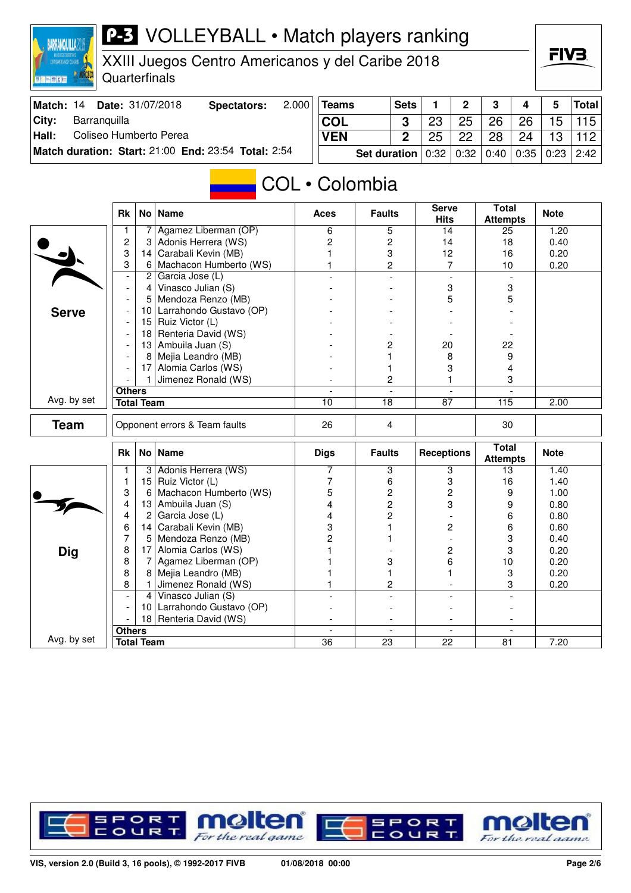#### **BARRANQUILLA2018** FIV3 XXIII Juegos Centro Americanos y del Caribe 2018 **IR NORCEO Quarterfinals DRESSE Match: 14 Date: 31/07/2018 Spectators: 2.000 Teams Sets 1 2 3 4 5 Total City: Barranquilla COL 3** 23 25 26 26 15 115 **Hall:** Coliseo Humberto Perea **VEN 2** 25 24 13 22 28 112 **Match duration: Start:** 21:00 **End:** 23:54 **Total:** 2:54 **Set duration** 0:32 0:32 0:40 0:35 0:23 2:42 COL • Colombia **Total** Rk No Name **Aces Faults** Serve **Attempts Note Hits** 1 7 Agamez Liberman (OP) 6 5 14 25 1.20<br>
2 3 Adonis Herrera (WS) 2 2 14 18 0.40 2 3 Adonis Herrera (WS) 2 2 14 18 0.40<br>3 14 Carabali Kevin (MB) 1 3 12 16 0.20 3 14 Carabali Kevin (MB) 1 3 12 16 0.20 3 6 Machacon Humberto (WS) 1 2 7 10 0.20  $2$  Garcia Jose (L) - 4 Vinasco Julian (S) - - - - - - 3 3 3<br>- 5 Mendoza Renzo (MB) - - - - - - 5 5 5 - 5 Mendoza Renzo (MB) - - 5 5 - 10 Larrahondo Gustavo (OP) - - - - **Serve** - 15 Ruiz Victor (L) - - - -  $-$  | 18 | Renteria David (WS) - 13 Ambuila Juan (S) - 2 20 22 - 8 Mejia Leandro (MB) - 1 8 9 - 17 Alomia Carlos (WS) - 1 3 4 - 1 Jimenez Ronald (WS) - 2 1 3 **Others** - - - - Avg. by set **Total Team 10** 18 87 115 2.00 **Team** Opponent errors & Team faults 26 4 30 **Attempts Note** Rk No Name **Receptions** Receptions **Receptions** Receptions **Receptions** 1 3 Adonis Herrera (WS) 7 3 3 13 1.40<br>1 5 Ruiz Victor (L) 7 6 3 16 1.40 1 15 Ruiz Victor (L) 7 6 3 16 1.40  $\frac{1}{\sqrt{2}}$ 3 6 Machacon Humberto (WS)  $\begin{array}{|c|c|c|c|c|c|c|c|} \hline 3 & 6 & \text{Machacon Humberto (WS) } \ 4 & 13 & \text{Ambuila Juan (S)} \ \hline \end{array}$   $\begin{array}{|c|c|c|c|c|c|c|c|} \hline 5 & 2 & 2 & 2 & 9 & 1.00 \ 2 & 3 & 9 & 0.80 \ \hline \end{array}$ 13 Ambuila Juan (S)  $\begin{array}{|c|c|c|c|c|c|}\n4 & 2 & 3 & 9 & 0.80 \\
4 & 2 & \text{Garcia Jose (L)} & & & 4 & 2 & - & 6 & 0.80 \\
\end{array}$ 1 2 Garcia Jose (L) 4 2 - 6<br>6 14 Carabali Kevin (MB) 3 1 2 6 6 14 Carabali Kevin (MB) 3 1 2 6 0.60 7 5 Mendoza Renzo (MB) 2 1 - 3 0.40 8 17 Alomia Carlos (WS) 1 - 2 3 0.20 **Dig** 8 7 Agamez Liberman (OP) 1 3 6 10 0.20<br>8 8 Meiia Leandro (MB) 1 1 1 3 0.20

**P-3** VOLLEYBALL • Match players ranking



8 Mejia Leandro (MB) 1 1 1 1 1 3 0.20 8 1 Jimenez Ronald (WS) 1 2 - 3 0.20<br>- 4 Vinasco Julian (S)

**Total Team 36 23 22 81 7.20** 

- 4 Vinasco Julian (S) - - - -

**Others** - - - -

Avg. by set

- | 10 Larrahondo Gustavo (OP)<br>- | 18 Renteria David (WS) Renteria David (WS)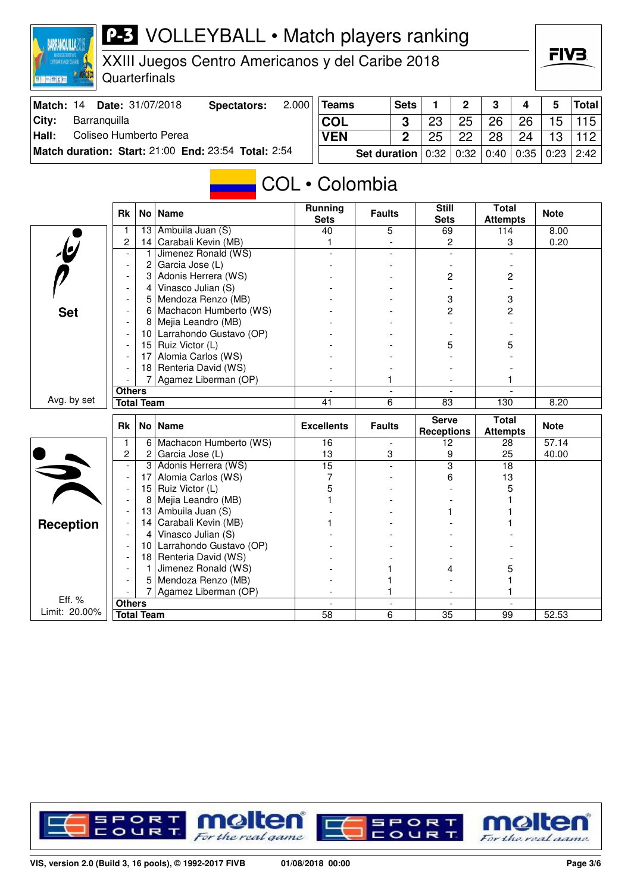# **P-3** VOLLEYBALL • Match players ranking

XXIII Juegos Centro Americanos y del Caribe 2018

Quarterfinals

**BARRANQUILLA2018** 

**EN MIX IN** 

**MR NORCEC** 

| Match: 14 | <b>Date:</b> 31/07/2018                             | Spectators: | $2.000$ Teams                                          | Sets |    | $\overline{2}$ | $\overline{\mathbf{3}}$ | $\overline{4}$ | 5               | Total |
|-----------|-----------------------------------------------------|-------------|--------------------------------------------------------|------|----|----------------|-------------------------|----------------|-----------------|-------|
| City:     | Barranquilla                                        |             | <b>COL</b>                                             | 3    | 23 | 25             | 26                      | 26             | 15 <sup>1</sup> | 115   |
| Hall:     | Coliseo Humberto Perea                              |             | <b>VEN</b>                                             | 2    | 25 | 22             | 28                      | 24             | 13              | 112   |
|           | Match duration: Start: 21:00 End: 23:54 Total: 2:54 |             | Set duration   0:32   0:32   0:40   0:35   0:23   2:42 |      |    |                |                         |                |                 |       |

#### COL • Colombia

|                         | <b>Rk</b>                | No                | <b>Name</b>             | <b>Running</b><br><b>Sets</b> | <b>Faults</b>       | <b>Still</b><br><b>Sets</b>       | <b>Total</b><br><b>Attempts</b> | <b>Note</b> |
|-------------------------|--------------------------|-------------------|-------------------------|-------------------------------|---------------------|-----------------------------------|---------------------------------|-------------|
|                         |                          | 13                | Ambuila Juan (S)        | 40                            | 5                   | 69                                | 114                             | 8.00        |
|                         | $\overline{c}$           | 14                | Carabali Kevin (MB)     | 1                             |                     | 2                                 | 3                               | 0.20        |
| $\cdot \mathbf{b}$      | $\overline{\phantom{a}}$ | 1                 | Jimenez Ronald (WS)     |                               |                     |                                   |                                 |             |
|                         | $\overline{\phantom{a}}$ | 2                 | Garcia Jose (L)         |                               |                     |                                   |                                 |             |
|                         | $\overline{\phantom{a}}$ | 3                 | Adonis Herrera (WS)     |                               |                     | $\overline{c}$                    | $\overline{c}$                  |             |
|                         |                          | 4                 | Vinasco Julian (S)      |                               |                     |                                   |                                 |             |
|                         |                          | 5                 | Mendoza Renzo (MB)      |                               |                     | 3                                 | 3                               |             |
| <b>Set</b>              |                          | 6                 | Machacon Humberto (WS)  |                               |                     | $\overline{2}$                    | 2                               |             |
|                         |                          | 8                 | Mejia Leandro (MB)      |                               |                     |                                   |                                 |             |
|                         |                          | 10                | Larrahondo Gustavo (OP) |                               |                     |                                   |                                 |             |
|                         |                          | 15                | Ruiz Victor (L)         |                               |                     | 5                                 | 5                               |             |
|                         |                          | 17                | Alomia Carlos (WS)      |                               |                     |                                   |                                 |             |
|                         |                          | 18                | Renteria David (WS)     |                               |                     |                                   |                                 |             |
|                         |                          | 7                 | Agamez Liberman (OP)    |                               | 1                   |                                   |                                 |             |
|                         | <b>Others</b>            |                   |                         | $\overline{\phantom{a}}$      |                     |                                   |                                 |             |
| Avg. by set             | <b>Total Team</b>        |                   | 41                      | 6                             | 83                  | 130                               | 8.20                            |             |
|                         | <b>Rk</b><br>No Name     |                   |                         |                               |                     |                                   |                                 |             |
|                         |                          |                   |                         | <b>Excellents</b>             | <b>Faults</b>       | <b>Serve</b><br><b>Receptions</b> | <b>Total</b><br><b>Attempts</b> | <b>Note</b> |
|                         | 1                        | 6                 | Machacon Humberto (WS)  | 16                            | $\blacksquare$      | 12                                | 28                              | 57.14       |
|                         | $\overline{c}$           | 2                 | Garcia Jose (L)         | 13                            | 3                   | 9                                 | 25                              | 40.00       |
|                         |                          | 3                 | Adonis Herrera (WS)     | $\overline{15}$               |                     | $\overline{3}$                    | 18                              |             |
|                         | $\overline{\phantom{a}}$ | 17                | Alomia Carlos (WS)      | 7                             |                     | 6                                 | 13                              |             |
|                         |                          | 15                | Ruiz Victor (L)         | 5                             |                     |                                   | 5                               |             |
| $\overrightarrow{v}$    |                          | 8                 | Mejia Leandro (MB)      |                               |                     |                                   |                                 |             |
|                         |                          | 13                | Ambuila Juan (S)        |                               |                     |                                   |                                 |             |
|                         |                          | 14                | Carabali Kevin (MB)     |                               |                     |                                   |                                 |             |
| Reception               |                          | 4                 | Vinasco Julian (S)      |                               |                     |                                   |                                 |             |
|                         |                          | 10                | Larrahondo Gustavo (OP) |                               |                     |                                   |                                 |             |
|                         |                          | 18                | Renteria David (WS)     |                               |                     |                                   |                                 |             |
|                         |                          | 1                 | Jimenez Ronald (WS)     |                               |                     | 4                                 | 5                               |             |
|                         |                          | 5                 | Mendoza Renzo (MB)      |                               |                     |                                   |                                 |             |
|                         |                          |                   | Agamez Liberman (OP)    |                               |                     |                                   |                                 |             |
| Eff. %<br>Limit: 20.00% | <b>Others</b>            | <b>Total Team</b> |                         | $\overline{a}$<br>58          | $\blacksquare$<br>6 | $\sim$<br>35                      | $\overline{a}$<br>99            | 52.53       |



FIV<sub>3</sub>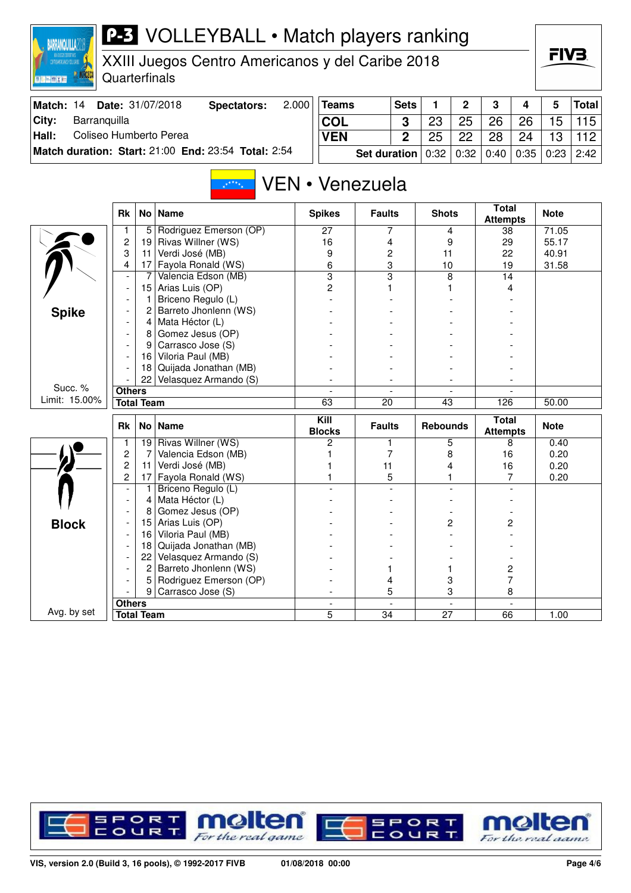| <b>BARRANQUILLA2D</b>           |                                                                                |                                                      | <b>P-3</b> VOLLEYBALL • Match players ranking       |       |                    |                     |                |                 |                |                                 |      |                |              |
|---------------------------------|--------------------------------------------------------------------------------|------------------------------------------------------|-----------------------------------------------------|-------|--------------------|---------------------|----------------|-----------------|----------------|---------------------------------|------|----------------|--------------|
|                                 | XXIII Juegos Centro Americanos y del Caribe 2018<br>Quarterfinals              |                                                      |                                                     |       |                    |                     |                |                 |                |                                 |      |                | FIV3.        |
| <b>STATISTICS</b>               |                                                                                |                                                      |                                                     |       |                    |                     |                |                 |                |                                 |      |                |              |
| Match: 14                       |                                                                                |                                                      | Date: 31/07/2018<br><b>Spectators:</b>              | 2.000 | <b>Teams</b>       |                     | <b>Sets</b>    | 1               | $\overline{2}$ | 3                               | 4    | $5\phantom{1}$ | <b>Total</b> |
| City:<br>Barranquilla           |                                                                                |                                                      |                                                     |       | COL                |                     | 3              | 23              | 25             | 26                              | 26   | 15             | 115          |
| Coliseo Humberto Perea<br>Hall: |                                                                                |                                                      |                                                     |       | <b>VEN</b>         |                     | $\overline{2}$ | 25              | 22             | 28                              | 24   | 13             | 112          |
|                                 |                                                                                |                                                      | Match duration: Start: 21:00 End: 23:54 Total: 2:54 |       |                    | <b>Set duration</b> |                | 0:32            | 0:32           | 0:40                            | 0:35 | 0:23           | 2:42         |
| VEN • Venezuela<br>$x^*$ ****   |                                                                                |                                                      |                                                     |       |                    |                     |                |                 |                |                                 |      |                |              |
|                                 | <b>Rk</b>                                                                      |                                                      | No   Name                                           |       | <b>Spikes</b>      | <b>Faults</b>       |                | <b>Shots</b>    |                | <b>Total</b><br><b>Attempts</b> |      | <b>Note</b>    |              |
|                                 | 1                                                                              | 5                                                    | Rodriguez Emerson (OP)                              |       | 27                 |                     | 7              |                 | 4              | 38                              |      | 71.05          |              |
|                                 | 2                                                                              | 19                                                   | Rivas Willner (WS)                                  |       | 16                 | 4                   |                | 9               |                | 29                              |      | 55.17          |              |
|                                 | 3<br>4                                                                         | 11                                                   | Verdi José (MB)                                     |       | 9<br>6             | 2<br>3              |                | 11<br>10<br>8   |                | 22<br>19                        |      | 40.91<br>31.58 |              |
|                                 |                                                                                | Fayola Ronald (WS)<br>17<br>Valencia Edson (MB)<br>7 |                                                     |       | 3                  | 3                   |                |                 |                | 14                              |      |                |              |
|                                 | Arias Luis (OP)<br>15<br>Briceno Regulo (L)<br>1<br>Barreto Jhonlenn (WS)<br>2 |                                                      |                                                     | 2     |                    |                     |                |                 |                |                                 |      |                |              |
|                                 |                                                                                |                                                      |                                                     |       |                    |                     |                |                 |                |                                 |      |                |              |
| <b>Spike</b>                    |                                                                                |                                                      |                                                     |       |                    |                     |                |                 |                |                                 |      |                |              |
|                                 |                                                                                | 4                                                    | Mata Héctor (L)                                     |       |                    |                     |                |                 |                |                                 |      |                |              |
|                                 |                                                                                | 8                                                    | Gomez Jesus (OP)                                    |       |                    |                     |                |                 |                |                                 |      |                |              |
|                                 |                                                                                | 9                                                    | Carrasco Jose (S)<br>Viloria Paul (MB)              |       |                    |                     |                |                 |                |                                 |      |                |              |
|                                 |                                                                                | 16<br>18                                             | Quijada Jonathan (MB)                               |       |                    |                     |                |                 |                |                                 |      |                |              |
|                                 |                                                                                | 22                                                   | Velasquez Armando (S)                               |       |                    |                     |                |                 |                |                                 |      |                |              |
| Succ. %                         | <b>Others</b>                                                                  |                                                      |                                                     |       |                    |                     |                |                 |                |                                 |      |                |              |
| Limit: 15.00%                   |                                                                                | <b>Total Team</b>                                    |                                                     |       | 63                 | $\overline{20}$     |                | 43              |                | 126                             |      | 50.00          |              |
|                                 | <b>Rk</b>                                                                      |                                                      | No   Name                                           |       | Kill               | <b>Faults</b>       |                | <b>Rebounds</b> |                | <b>Total</b><br><b>Attempts</b> |      | <b>Note</b>    |              |
|                                 | 1                                                                              |                                                      | 19 Rivas Willner (WS)                               |       | <b>Blocks</b><br>2 |                     | 1              |                 | 5              |                                 | 8    | 0.40           |              |
|                                 | $\overline{c}$                                                                 | 7                                                    | Valencia Edson (MB)                                 |       |                    |                     | 7              |                 | 8              | 16                              |      | 0.20           |              |
|                                 | $\overline{c}$                                                                 | 11                                                   | Verdi José (MB)                                     |       |                    | 11                  |                |                 | 4              | 16                              |      | 0.20           |              |
|                                 | 2                                                                              | 17                                                   | Fayola Ronald (WS)                                  |       |                    | 5                   |                |                 |                |                                 | 7    | 0.20           |              |
|                                 | $\blacksquare$                                                                 | 1                                                    | Briceno Regulo (L)                                  |       |                    |                     |                |                 |                |                                 |      |                |              |
|                                 |                                                                                |                                                      | Mata Héctor (L)                                     |       |                    |                     |                |                 |                |                                 |      |                |              |
|                                 |                                                                                | 8                                                    | Gomez Jesus (OP)<br>Arias Luis (OP)                 |       |                    |                     |                |                 | 2              |                                 | 2    |                |              |
| <b>Block</b>                    |                                                                                | 15<br>16                                             | Viloria Paul (MB)                                   |       |                    |                     |                |                 |                |                                 |      |                |              |
|                                 |                                                                                | 18                                                   | Quijada Jonathan (MB)                               |       |                    |                     |                |                 |                |                                 |      |                |              |
|                                 |                                                                                | 22                                                   | Velasquez Armando (S)                               |       |                    |                     |                |                 |                |                                 |      |                |              |
|                                 |                                                                                | $\mathbf{2}^{\prime}$                                | Barreto Jhonlenn (WS)                               |       |                    | 1                   |                |                 | 1              |                                 | 2    |                |              |
|                                 |                                                                                |                                                      | Rodriguez Emerson (OP)                              |       |                    | 4                   |                |                 | 3              |                                 | 7    |                |              |
|                                 |                                                                                | 9                                                    | Carrasco Jose (S)                                   |       |                    |                     | 5              |                 | 3              |                                 | 8    |                |              |
| Avg. by set                     | <b>Others</b>                                                                  |                                                      |                                                     |       |                    |                     |                |                 | $\blacksquare$ |                                 |      |                |              |
|                                 |                                                                                | <b>Total Team</b>                                    |                                                     |       | 5                  | $\overline{34}$     |                | 27              |                | 66                              |      | 1.00           |              |

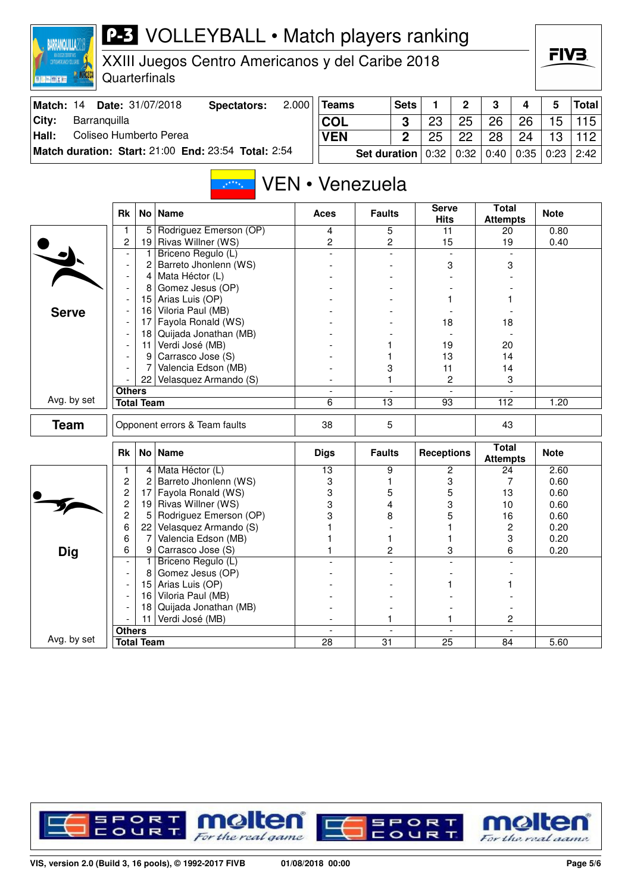| XXII ZLOZOS DOPORTINOS<br>Controamericanos y del Caribe |                     |                   | XXIII Juegos Centro Americanos y del Caribe 2018    |       |                          |                     |                         |                             |                   |                                 |      | FIV3.        |              |
|---------------------------------------------------------|---------------------|-------------------|-----------------------------------------------------|-------|--------------------------|---------------------|-------------------------|-----------------------------|-------------------|---------------------------------|------|--------------|--------------|
| 图照画图图图                                                  | Quarterfinals       |                   |                                                     |       |                          |                     |                         |                             |                   |                                 |      |              |              |
| Match: 14                                               |                     |                   | Date: 31/07/2018<br><b>Spectators:</b>              | 2.000 | <b>Teams</b>             |                     | <b>Sets</b>             | 1                           | $\mathbf 2$       | 3                               | 4    | 5            | <b>Total</b> |
| Barranquilla<br>City:                                   |                     |                   |                                                     |       | <b>COL</b>               |                     | 3                       | 23                          | 25                | 26                              | 26   | 15           | 115          |
| Coliseo Humberto Perea<br>Hall:                         |                     |                   |                                                     |       | <b>VEN</b>               |                     | $\overline{2}$          | 25                          | 22                | 28                              | 24   | 13           | 112          |
|                                                         |                     |                   | Match duration: Start: 21:00 End: 23:54 Total: 2:54 |       |                          | <b>Set duration</b> |                         | 0:32                        | 0:32              | 0:40                            | 0:35 | 0:23         | 2:42         |
|                                                         |                     |                   |                                                     |       | VEN • Venezuela          |                     |                         |                             |                   |                                 |      |              |              |
|                                                         | <b>Rk</b>           |                   | No   Name                                           |       | Aces                     | <b>Faults</b>       |                         | <b>Serve</b><br><b>Hits</b> |                   | <b>Total</b><br><b>Attempts</b> |      | <b>Note</b>  |              |
|                                                         | 1                   | 5                 | Rodriguez Emerson (OP)                              |       | 4                        |                     | 5                       | 11                          |                   | 20                              |      | 0.80         |              |
|                                                         | 2                   | 19                | Rivas Willner (WS)                                  |       | 2                        |                     | 2                       | 15                          |                   | 19                              |      | 0.40         |              |
|                                                         |                     |                   | Briceno Regulo (L)                                  |       |                          |                     |                         |                             |                   |                                 |      |              |              |
|                                                         |                     | 2                 | Barreto Jhonlenn (WS)                               |       |                          |                     |                         | 3<br>1                      |                   | 3                               |      |              |              |
|                                                         |                     | 4<br>8            | Mata Héctor (L)<br>Gomez Jesus (OP)                 |       |                          |                     |                         |                             |                   |                                 |      |              |              |
|                                                         |                     | 15                | Arias Luis (OP)                                     |       |                          |                     |                         |                             |                   |                                 |      |              |              |
| <b>Serve</b>                                            |                     | 16                | Viloria Paul (MB)                                   |       |                          |                     |                         |                             |                   |                                 |      |              |              |
|                                                         |                     | 17                | Fayola Ronald (WS)                                  |       |                          |                     |                         | 18                          |                   | 18                              |      |              |              |
|                                                         |                     | 18                | Quijada Jonathan (MB)                               |       |                          |                     |                         |                             |                   |                                 |      |              |              |
|                                                         |                     | 11                | Verdi José (MB)                                     |       |                          |                     |                         | 19                          |                   | 20                              |      |              |              |
|                                                         |                     | 9                 | Carrasco Jose (S)                                   |       |                          |                     |                         |                             | 13                | 14                              |      |              |              |
|                                                         |                     | 7                 | Valencia Edson (MB)                                 |       |                          |                     | 3<br>11                 |                             |                   | 14                              |      |              |              |
|                                                         |                     | 22                | Velasquez Armando (S)                               |       |                          |                     | 1                       |                             | 2                 | 3                               |      |              |              |
| Avg. by set                                             | <b>Others</b>       |                   |                                                     |       | $\overline{\phantom{a}}$ |                     |                         |                             |                   |                                 |      |              |              |
|                                                         |                     | <b>Total Team</b> |                                                     |       | 6                        |                     | $\overline{13}$<br>93   |                             |                   | 112                             |      | 1.20         |              |
| <b>Team</b>                                             |                     |                   | Opponent errors & Team faults                       |       | 38                       | 5                   |                         |                             |                   | 43                              |      |              |              |
|                                                         | Rk                  |                   | No   Name                                           |       | <b>Digs</b>              |                     | <b>Faults</b>           |                             | <b>Receptions</b> | <b>Total</b><br><b>Attempts</b> |      | <b>Note</b>  |              |
|                                                         |                     | $\vert 4 \vert$   | Mata Héctor (L)                                     |       | 13                       |                     | 9                       |                             | 2                 | 24                              |      | 2.60         |              |
|                                                         | 2                   | 2                 | Barreto Jhonlenn (WS)                               |       | 3                        |                     | 1                       |                             | 3                 |                                 | 7    | 0.60         |              |
|                                                         | 2<br>$\overline{c}$ | 17 <sup>1</sup>   | Fayola Ronald (WS)<br>19 Rivas Willner (WS)         |       | 3                        |                     | 5<br>4                  |                             | 5<br>3            | 13<br>10                        |      | 0.60         |              |
|                                                         | $\overline{c}$      | 5                 | Rodriguez Emerson (OP)                              |       | 3<br>3                   |                     | 8                       |                             | 5                 | 16                              |      | 0.60<br>0.60 |              |
|                                                         | 6                   | 22                | Velasquez Armando (S)                               |       |                          |                     |                         |                             |                   |                                 | 2    | 0.20         |              |
|                                                         | 6                   | 7                 | Valencia Edson (MB)                                 |       |                          |                     | 1                       |                             | 1                 |                                 | 3    | 0.20         |              |
| <b>Dig</b>                                              | 6                   | 9                 | Carrasco Jose (S)                                   |       |                          |                     | $\overline{\mathbf{c}}$ |                             | 3                 |                                 | 6    | 0.20         |              |
|                                                         |                     |                   | Briceno Regulo (L)                                  |       |                          |                     |                         |                             |                   |                                 |      |              |              |
|                                                         |                     | 8                 | Gomez Jesus (OP)                                    |       |                          |                     |                         |                             |                   |                                 |      |              |              |
|                                                         |                     | 15 <sub>1</sub>   | Arias Luis (OP)                                     |       |                          |                     |                         |                             | 1                 |                                 |      |              |              |
|                                                         |                     | 16                | Viloria Paul (MB)                                   |       |                          |                     |                         |                             |                   |                                 |      |              |              |
|                                                         |                     | 18                | Quijada Jonathan (MB)                               |       |                          |                     |                         |                             |                   |                                 |      |              |              |
|                                                         | <b>Others</b>       | 11.               | Verdi José (MB)                                     |       |                          | 1                   |                         |                             | 1                 |                                 | 2    |              |              |
| Avg. by set                                             |                     | <b>Total Team</b> |                                                     |       | $\overline{28}$          | $\overline{31}$     |                         | $\overline{25}$             |                   | 84                              |      | 5.60         |              |

**P-3** VOLLEYBALL • Match players ranking